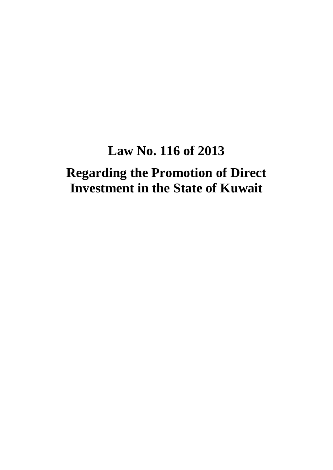# **Law No. 116 of 2013**

# **Regarding the Promotion of Direct Investment in the State of Kuwait**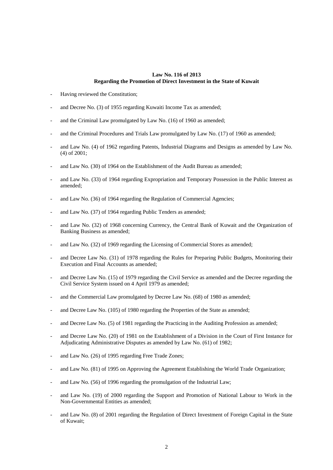#### **Law No. 116 of 2013 Regarding the Promotion of Direct Investment in the State of Kuwait**

- Having reviewed the Constitution;
- and Decree No. (3) of 1955 regarding Kuwaiti Income Tax as amended;
- and the Criminal Law promulgated by Law No. (16) of 1960 as amended:
- and the Criminal Procedures and Trials Law promulgated by Law No. (17) of 1960 as amended;
- and Law No. (4) of 1962 regarding Patents, Industrial Diagrams and Designs as amended by Law No. (4) of 2001;
- and Law No. (30) of 1964 on the Establishment of the Audit Bureau as amended;
- and Law No. (33) of 1964 regarding Expropriation and Temporary Possession in the Public Interest as amended;
- and Law No. (36) of 1964 regarding the Regulation of Commercial Agencies;
- and Law No. (37) of 1964 regarding Public Tenders as amended;
- and Law No. (32) of 1968 concerning Currency, the Central Bank of Kuwait and the Organization of Banking Business as amended;
- and Law No. (32) of 1969 regarding the Licensing of Commercial Stores as amended;
- and Decree Law No. (31) of 1978 regarding the Rules for Preparing Public Budgets, Monitoring their Execution and Final Accounts as amended;
- and Decree Law No. (15) of 1979 regarding the Civil Service as amended and the Decree regarding the Civil Service System issued on 4 April 1979 as amended;
- and the Commercial Law promulgated by Decree Law No. (68) of 1980 as amended;
- and Decree Law No. (105) of 1980 regarding the Properties of the State as amended;
- and Decree Law No. (5) of 1981 regarding the Practicing in the Auditing Profession as amended;
- and Decree Law No. (20) of 1981 on the Establishment of a Division in the Court of First Instance for Adjudicating Administrative Disputes as amended by Law No. (61) of 1982;
- and Law No. (26) of 1995 regarding Free Trade Zones;
- and Law No. (81) of 1995 on Approving the Agreement Establishing the World Trade Organization;
- and Law No. (56) of 1996 regarding the promulgation of the Industrial Law;
- and Law No. (19) of 2000 regarding the Support and Promotion of National Labour to Work in the Non-Governmental Entities as amended;
- and Law No. (8) of 2001 regarding the Regulation of Direct Investment of Foreign Capital in the State of Kuwait;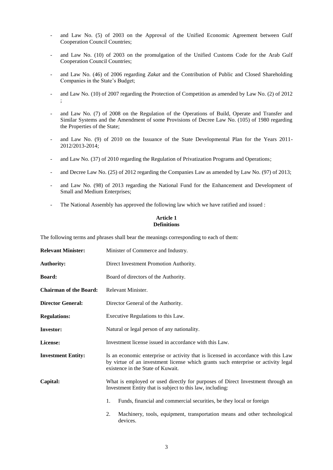- and Law No. (5) of 2003 on the Approval of the Unified Economic Agreement between Gulf Cooperation Council Countries;
- and Law No. (10) of 2003 on the promulgation of the Unified Customs Code for the Arab Gulf Cooperation Council Countries;
- and Law No. (46) of 2006 regarding *Zakat* and the Contribution of Public and Closed Shareholding Companies in the State's Budget;
- and Law No. (10) of 2007 regarding the Protection of Competition as amended by Law No. (2) of 2012 ;
- and Law No. (7) of 2008 on the Regulation of the Operations of Build, Operate and Transfer and Similar Systems and the Amendment of some Provisions of Decree Law No. (105) of 1980 regarding the Properties of the State;
- and Law No. (9) of 2010 on the Issuance of the State Developmental Plan for the Years 2011- 2012/2013-2014;
- and Law No. (37) of 2010 regarding the Regulation of Privatization Programs and Operations;
- and Decree Law No. (25) of 2012 regarding the Companies Law as amended by Law No. (97) of 2013;
- and Law No. (98) of 2013 regarding the National Fund for the Enhancement and Development of Small and Medium Enterprises;
- The National Assembly has approved the following law which we have ratified and issued :

## **Article 1 Definitions**

The following terms and phrases shall bear the meanings corresponding to each of them:

| <b>Relevant Minister:</b>     | Minister of Commerce and Industry.                                                                                                                                                                           |  |  |
|-------------------------------|--------------------------------------------------------------------------------------------------------------------------------------------------------------------------------------------------------------|--|--|
| <b>Authority:</b>             | Direct Investment Promotion Authority.                                                                                                                                                                       |  |  |
| <b>Board:</b>                 | Board of directors of the Authority.                                                                                                                                                                         |  |  |
| <b>Chairman of the Board:</b> | Relevant Minister.                                                                                                                                                                                           |  |  |
| <b>Director General:</b>      | Director General of the Authority.                                                                                                                                                                           |  |  |
| <b>Regulations:</b>           | Executive Regulations to this Law.                                                                                                                                                                           |  |  |
| <b>Investor:</b>              | Natural or legal person of any nationality.                                                                                                                                                                  |  |  |
| License:                      | Investment license issued in accordance with this Law.                                                                                                                                                       |  |  |
| <b>Investment Entity:</b>     | Is an economic enterprise or activity that is licensed in accordance with this Law<br>by virtue of an investment license which grants such enterprise or activity legal<br>existence in the State of Kuwait. |  |  |
| Capital:                      | What is employed or used directly for purposes of Direct Investment through an<br>Investment Entity that is subject to this law, including:                                                                  |  |  |
|                               | 1.<br>Funds, financial and commercial securities, be they local or foreign                                                                                                                                   |  |  |
|                               | Machinery, tools, equipment, transportation means and other technological<br>2.<br>devices                                                                                                                   |  |  |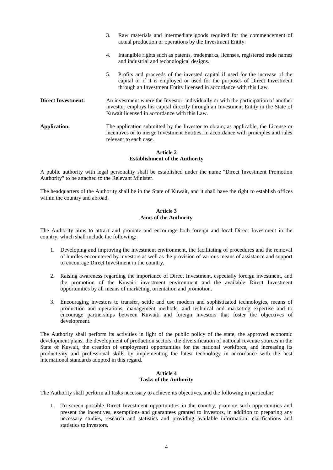|                           | 3.                                                                                                                                                                                                                         | Raw materials and intermediate goods required for the commencement of<br>actual production or operations by the Investment Entity.                                                                                               |
|---------------------------|----------------------------------------------------------------------------------------------------------------------------------------------------------------------------------------------------------------------------|----------------------------------------------------------------------------------------------------------------------------------------------------------------------------------------------------------------------------------|
|                           | 4.                                                                                                                                                                                                                         | Intangible rights such as patents, trademarks, licenses, registered trade names<br>and industrial and technological designs.                                                                                                     |
|                           | 5.                                                                                                                                                                                                                         | Profits and proceeds of the invested capital if used for the increase of the<br>capital or if it is employed or used for the purposes of Direct Investment<br>through an Investment Entity licensed in accordance with this Law. |
| <b>Direct Investment:</b> | An investment where the Investor, individually or with the participation of another<br>investor, employs his capital directly through an Investment Entity in the State of<br>Kuwait licensed in accordance with this Law. |                                                                                                                                                                                                                                  |
| <b>Application:</b>       |                                                                                                                                                                                                                            | The application submitted by the Investor to obtain, as applicable, the License or<br>incentives or to merge Investment Entities, in accordance with principles and rules<br>relevant to each case.                              |

#### **Article 2 Establishment of the Authority**

A public authority with legal personality shall be established under the name "Direct Investment Promotion Authority" to be attached to the Relevant Minister.

The headquarters of the Authority shall be in the State of Kuwait, and it shall have the right to establish offices within the country and abroad.

#### **Article 3 Aims of the Authority**

The Authority aims to attract and promote and encourage both foreign and local Direct Investment in the country, which shall include the following:

- 1. Developing and improving the investment environment, the facilitating of procedures and the removal of hurdles encountered by investors as well as the provision of various means of assistance and support to encourage Direct Investment in the country.
- 2. Raising awareness regarding the importance of Direct Investment, especially foreign investment, and the promotion of the Kuwaiti investment environment and the available Direct Investment opportunities by all means of marketing, orientation and promotion.
- 3. Encouraging investors to transfer, settle and use modern and sophisticated technologies, means of production and operations, management methods, and technical and marketing expertise and to encourage partnerships between Kuwaiti and foreign investors that foster the objectives of development.

The Authority shall perform its activities in light of the public policy of the state, the approved economic development plans, the development of production sectors, the diversification of national revenue sources in the State of Kuwait, the creation of employment opportunities for the national workforce, and increasing its productivity and professional skills by implementing the latest technology in accordance with the best international standards adopted in this regard.

## **Article 4 Tasks of the Authority**

The Authority shall perform all tasks necessary to achieve its objectives, and the following in particular:

1. To screen possible Direct Investment opportunities in the country, promote such opportunities and present the incentives, exemptions and guarantees granted to investors, in addition to preparing any necessary studies, research and statistics and providing available information, clarifications and statistics to investors.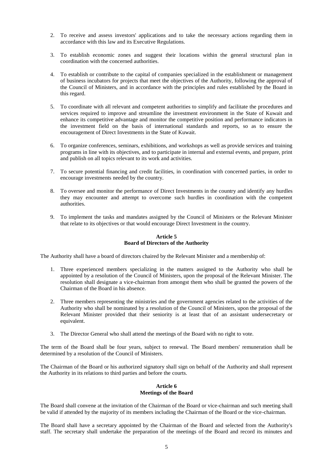- 2. To receive and assess investors' applications and to take the necessary actions regarding them in accordance with this law and its Executive Regulations.
- 3. To establish economic zones and suggest their locations within the general structural plan in coordination with the concerned authorities.
- 4. To establish or contribute to the capital of companies specialized in the establishment or management of business incubators for projects that meet the objectives of the Authority, following the approval of the Council of Ministers, and in accordance with the principles and rules established by the Board in this regard.
- 5. To coordinate with all relevant and competent authorities to simplify and facilitate the procedures and services required to improve and streamline the investment environment in the State of Kuwait and enhance its competitive advantage and monitor the competitive position and performance indicators in the investment field on the basis of international standards and reports, so as to ensure the encouragement of Direct Investments in the State of Kuwait.
- 6. To organize conferences, seminars, exhibitions, and workshops as well as provide services and training programs in line with its objectives, and to participate in internal and external events, and prepare, print and publish on all topics relevant to its work and activities.
- 7. To secure potential financing and credit facilities, in coordination with concerned parties, in order to encourage investments needed by the country.
- 8. To oversee and monitor the performance of Direct Investments in the country and identify any hurdles they may encounter and attempt to overcome such hurdles in coordination with the competent authorities.
- 9. To implement the tasks and mandates assigned by the Council of Ministers or the Relevant Minister that relate to its objectives or that would encourage Direct Investment in the country.

## **Article 5 Board of Directors of the Authority**

The Authority shall have a board of directors chaired by the Relevant Minister and a membership of:

- 1. Three experienced members specializing in the matters assigned to the Authority who shall be appointed by a resolution of the Council of Ministers, upon the proposal of the Relevant Minister. The resolution shall designate a vice-chairman from amongst them who shall be granted the powers of the Chairman of the Board in his absence.
- 2. Three members representing the ministries and the government agencies related to the activities of the Authority who shall be nominated by a resolution of the Council of Ministers, upon the proposal of the Relevant Minister provided that their seniority is at least that of an assistant undersecretary or equivalent.
- 3. The Director General who shall attend the meetings of the Board with no right to vote.

The term of the Board shall be four years, subject to renewal. The Board members' remuneration shall be determined by a resolution of the Council of Ministers.

The Chairman of the Board or his authorized signatory shall sign on behalf of the Authority and shall represent the Authority in its relations to third parties and before the courts.

#### **Article 6 Meetings of the Board**

The Board shall convene at the invitation of the Chairman of the Board or vice-chairman and such meeting shall be valid if attended by the majority of its members including the Chairman of the Board or the vice-chairman.

The Board shall have a secretary appointed by the Chairman of the Board and selected from the Authority's staff. The secretary shall undertake the preparation of the meetings of the Board and record its minutes and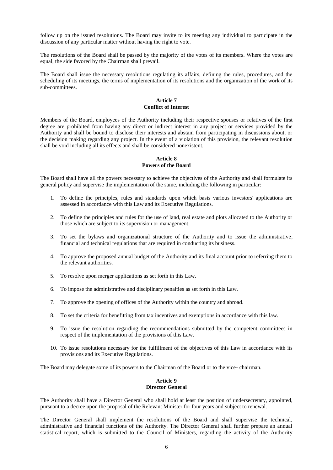follow up on the issued resolutions. The Board may invite to its meeting any individual to participate in the discussion of any particular matter without having the right to vote.

The resolutions of the Board shall be passed by the majority of the votes of its members. Where the votes are equal, the side favored by the Chairman shall prevail.

The Board shall issue the necessary resolutions regulating its affairs, defining the rules, procedures, and the scheduling of its meetings, the terms of implementation of its resolutions and the organization of the work of its sub-committees.

## **Article 7 Conflict of Interest**

Members of the Board, employees of the Authority including their respective spouses or relatives of the first degree are prohibited from having any direct or indirect interest in any project or services provided by the Authority and shall be bound to disclose their interests and abstain from participating in discussions about, or the decision making regarding any project. In the event of a violation of this provision, the relevant resolution shall be void including all its effects and shall be considered nonexistent.

## **Article 8 Powers of the Board**

The Board shall have all the powers necessary to achieve the objectives of the Authority and shall formulate its general policy and supervise the implementation of the same, including the following in particular:

- 1. To define the principles, rules and standards upon which basis various investors' applications are assessed in accordance with this Law and its Executive Regulations.
- 2. To define the principles and rules for the use of land, real estate and plots allocated to the Authority or those which are subject to its supervision or management.
- 3. To set the bylaws and organizational structure of the Authority and to issue the administrative, financial and technical regulations that are required in conducting its business.
- 4. To approve the proposed annual budget of the Authority and its final account prior to referring them to the relevant authorities.
- 5. To resolve upon merger applications as set forth in this Law.
- 6. To impose the administrative and disciplinary penalties as set forth in this Law.
- 7. To approve the opening of offices of the Authority within the country and abroad.
- 8. To set the criteria for benefitting from tax incentives and exemptions in accordance with this law.
- 9. To issue the resolution regarding the recommendations submitted by the competent committees in respect of the implementation of the provisions of this Law.
- 10. To issue resolutions necessary for the fulfillment of the objectives of this Law in accordance with its provisions and its Executive Regulations.

The Board may delegate some of its powers to the Chairman of the Board or to the vice- chairman.

#### **Article 9 Director General**

The Authority shall have a Director General who shall hold at least the position of undersecretary, appointed, pursuant to a decree upon the proposal of the Relevant Minister for four years and subject to renewal.

The Director General shall implement the resolutions of the Board and shall supervise the technical, administrative and financial functions of the Authority. The Director General shall further prepare an annual statistical report, which is submitted to the Council of Ministers, regarding the activity of the Authority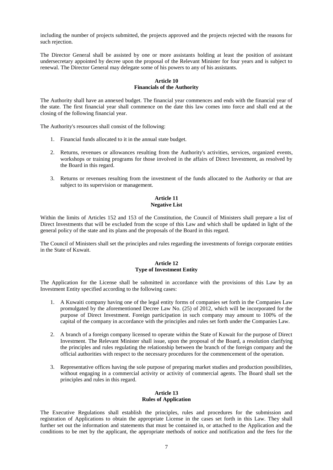including the number of projects submitted, the projects approved and the projects rejected with the reasons for such rejection.

The Director General shall be assisted by one or more assistants holding at least the position of assistant undersecretary appointed by decree upon the proposal of the Relevant Minister for four years and is subject to renewal. The Director General may delegate some of his powers to any of his assistants.

## **Article 10 Financials of the Authority**

The Authority shall have an annexed budget. The financial year commences and ends with the financial year of the state. The first financial year shall commence on the date this law comes into force and shall end at the closing of the following financial year.

The Authority's resources shall consist of the following:

- 1. Financial funds allocated to it in the annual state budget.
- 2. Returns, revenues or allowances resulting from the Authority's activities, services, organized events, workshops or training programs for those involved in the affairs of Direct Investment, as resolved by the Board in this regard.
- 3. Returns or revenues resulting from the investment of the funds allocated to the Authority or that are subject to its supervision or management.

## **Article 11 Negative List**

Within the limits of Articles 152 and 153 of the Constitution, the Council of Ministers shall prepare a list of Direct Investments that will be excluded from the scope of this Law and which shall be updated in light of the general policy of the state and its plans and the proposals of the Board in this regard.

The Council of Ministers shall set the principles and rules regarding the investments of foreign corporate entities in the State of Kuwait.

## **Article 12 Type of Investment Entity**

The Application for the License shall be submitted in accordance with the provisions of this Law by an Investment Entity specified according to the following cases:

- 1. A Kuwaiti company having one of the legal entity forms of companies set forth in the Companies Law promulgated by the aforementioned Decree Law No. (25) of 2012, which will be incorporated for the purpose of Direct Investment. Foreign participation in such company may amount to 100% of the capital of the company in accordance with the principles and rules set forth under the Companies Law.
- 2. A branch of a foreign company licensed to operate within the State of Kuwait for the purpose of Direct Investment. The Relevant Minister shall issue, upon the proposal of the Board, a resolution clarifying the principles and rules regulating the relationship between the branch of the foreign company and the official authorities with respect to the necessary procedures for the commencement of the operation.
- 3. Representative offices having the sole purpose of preparing market studies and production possibilities, without engaging in a commercial activity or activity of commercial agents. The Board shall set the principles and rules in this regard.

## **Article 13 Rules of Application**

The Executive Regulations shall establish the principles, rules and procedures for the submission and registration of Applications to obtain the appropriate License in the cases set forth in this Law. They shall further set out the information and statements that must be contained in, or attached to the Application and the conditions to be met by the applicant, the appropriate methods of notice and notification and the fees for the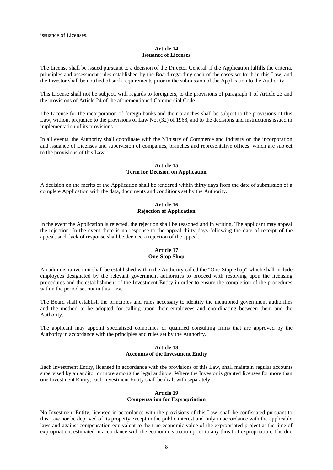#### **Article 14 Issuance of Licenses**

The License shall be issued pursuant to a decision of the Director General, if the Application fulfills the criteria, principles and assessment rules established by the Board regarding each of the cases set forth in this Law, and the Investor shall be notified of such requirements prior to the submission of the Application to the Authority.

This License shall not be subject, with regards to foreigners, to the provisions of paragraph 1 of Article 23 and the provisions of Article 24 of the aforementioned Commercial Code.

The License for the incorporation of foreign banks and their branches shall be subject to the provisions of this Law, without prejudice to the provisions of Law No. (32) of 1968, and to the decisions and instructions issued in implementation of its provisions.

In all events, the Authority shall coordinate with the Ministry of Commerce and Industry on the incorporation and issuance of Licenses and supervision of companies, branches and representative offices, which are subject to the provisions of this Law.

#### **Article 15 Term for Decision on Application**

A decision on the merits of the Application shall be rendered within thirty days from the date of submission of a complete Application with the data, documents and conditions set by the Authority.

#### **Article 16 Rejection of Application**

In the event the Application is rejected, the rejection shall be reasoned and in writing. The applicant may appeal the rejection. In the event there is no response to the appeal thirty days following the date of receipt of the appeal, such lack of response shall be deemed a rejection of the appeal.

#### **Article 17 One-Stop Shop**

An administrative unit shall be established within the Authority called the "One-Stop Shop" which shall include employees designated by the relevant government authorities to proceed with resolving upon the licensing procedures and the establishment of the Investment Entity in order to ensure the completion of the procedures within the period set out in this Law.

The Board shall establish the principles and rules necessary to identify the mentioned government authorities and the method to be adopted for calling upon their employees and coordinating between them and the Authority.

The applicant may appoint specialized companies or qualified consulting firms that are approved by the Authority in accordance with the principles and rules set by the Authority.

#### **Article 18 Accounts of the Investment Entity**

Each Investment Entity, licensed in accordance with the provisions of this Law, shall maintain regular accounts supervised by an auditor or more among the legal auditors. Where the Investor is granted licenses for more than one Investment Entity, each Investment Entity shall be dealt with separately.

## **Article 19 Compensation for Expropriation**

No Investment Entity, licensed in accordance with the provisions of this Law, shall be confiscated pursuant to this Law nor be deprived of its property except in the public interest and only in accordance with the applicable laws and against compensation equivalent to the true economic value of the expropriated project at the time of expropriation, estimated in accordance with the economic situation prior to any threat of expropriation. The due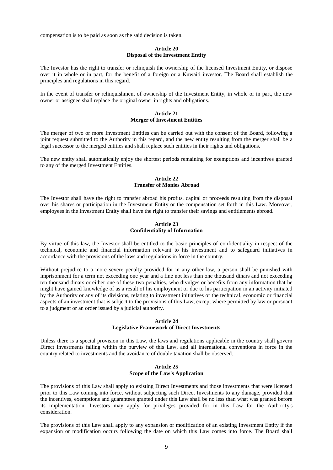compensation is to be paid as soon as the said decision is taken.

#### **Article 20 Disposal of the Investment Entity**

The Investor has the right to transfer or relinquish the ownership of the licensed Investment Entity, or dispose over it in whole or in part, for the benefit of a foreign or a Kuwaiti investor. The Board shall establish the principles and regulations in this regard.

In the event of transfer or relinquishment of ownership of the Investment Entity, in whole or in part, the new owner or assignee shall replace the original owner in rights and obligations.

## **Article 21 Merger of Investment Entities**

The merger of two or more Investment Entities can be carried out with the consent of the Board, following a joint request submitted to the Authority in this regard, and the new entity resulting from the merger shall be a legal successor to the merged entities and shall replace such entities in their rights and obligations.

The new entity shall automatically enjoy the shortest periods remaining for exemptions and incentives granted to any of the merged Investment Entities.

#### **Article 22 Transfer of Monies Abroad**

The Investor shall have the right to transfer abroad his profits, capital or proceeds resulting from the disposal over his shares or participation in the Investment Entity or the compensation set forth in this Law. Moreover, employees in the Investment Entity shall have the right to transfer their savings and entitlements abroad.

#### **Article 23 Confidentiality of Information**

By virtue of this law, the Investor shall be entitled to the basic principles of confidentiality in respect of the technical, economic and financial information relevant to his investment and to safeguard initiatives in accordance with the provisions of the laws and regulations in force in the country.

Without prejudice to a more severe penalty provided for in any other law, a person shall be punished with imprisonment for a term not exceeding one year and a fine not less than one thousand dinars and not exceeding ten thousand dinars or either one of these two penalties, who divulges or benefits from any information that he might have gained knowledge of as a result of his employment or due to his participation in an activity initiated by the Authority or any of its divisions, relating to investment initiatives or the technical, economic or financial aspects of an investment that is subject to the provisions of this Law, except where permitted by law or pursuant to a judgment or an order issued by a judicial authority.

#### **Article 24 Legislative Framework of Direct Investments**

Unless there is a special provision in this Law, the laws and regulations applicable in the country shall govern Direct Investments falling within the purview of this Law, and all international conventions in force in the country related to investments and the avoidance of double taxation shall be observed.

#### **Article 25 Scope of the Law's Application**

The provisions of this Law shall apply to existing Direct Investments and those investments that were licensed prior to this Law coming into force, without subjecting such Direct Investments to any damage, provided that the incentives, exemptions and guarantees granted under this Law shall be no less than what was granted before its implementation. Investors may apply for privileges provided for in this Law for the Authority's consideration.

The provisions of this Law shall apply to any expansion or modification of an existing Investment Entity if the expansion or modification occurs following the date on which this Law comes into force. The Board shall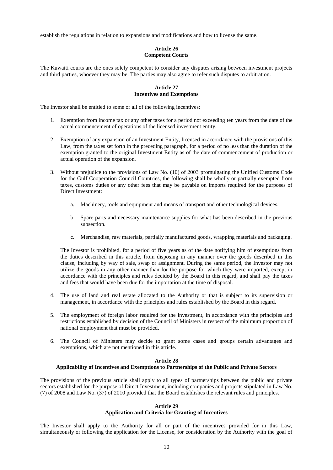establish the regulations in relation to expansions and modifications and how to license the same.

## **Article 26 Competent Courts**

The Kuwaiti courts are the ones solely competent to consider any disputes arising between investment projects and third parties, whoever they may be. The parties may also agree to refer such disputes to arbitration.

#### **Article 27 Incentives and Exemptions**

The Investor shall be entitled to some or all of the following incentives:

- 1. Exemption from income tax or any other taxes for a period not exceeding ten years from the date of the actual commencement of operations of the licensed investment entity.
- 2. Exemption of any expansion of an Investment Entity, licensed in accordance with the provisions of this Law, from the taxes set forth in the preceding paragraph, for a period of no less than the duration of the exemption granted to the original Investment Entity as of the date of commencement of production or actual operation of the expansion.
- 3. Without prejudice to the provisions of Law No. (10) of 2003 promulgating the Unified Customs Code for the Gulf Cooperation Council Countries, the following shall be wholly or partially exempted from taxes, customs duties or any other fees that may be payable on imports required for the purposes of Direct Investment:
	- a. Machinery, tools and equipment and means of transport and other technological devices.
	- b. Spare parts and necessary maintenance supplies for what has been described in the previous subsection.
	- c. Merchandise, raw materials, partially manufactured goods, wrapping materials and packaging.

The Investor is prohibited, for a period of five years as of the date notifying him of exemptions from the duties described in this article, from disposing in any manner over the goods described in this clause, including by way of sale, swap or assignment. During the same period, the Investor may not utilize the goods in any other manner than for the purpose for which they were imported, except in accordance with the principles and rules decided by the Board in this regard, and shall pay the taxes and fees that would have been due for the importation at the time of disposal.

- 4. The use of land and real estate allocated to the Authority or that is subject to its supervision or management, in accordance with the principles and rules established by the Board in this regard.
- 5. The employment of foreign labor required for the investment, in accordance with the principles and restrictions established by decision of the Council of Ministers in respect of the minimum proportion of national employment that must be provided.
- 6. The Council of Ministers may decide to grant some cases and groups certain advantages and exemptions, which are not mentioned in this article.

#### **Article 28**

#### **Applicability of Incentives and Exemptions to Partnerships of the Public and Private Sectors**

The provisions of the previous article shall apply to all types of partnerships between the public and private sectors established for the purpose of Direct Investment, including companies and projects stipulated in Law No. (7) of 2008 and Law No. (37) of 2010 provided that the Board establishes the relevant rules and principles.

#### **Article 29**

#### **Application and Criteria for Granting of Incentives**

The Investor shall apply to the Authority for all or part of the incentives provided for in this Law, simultaneously or following the application for the License, for consideration by the Authority with the goal of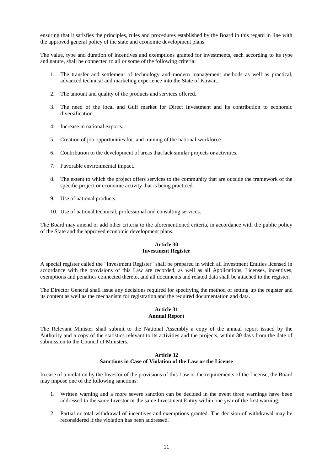ensuring that it satisfies the principles, rules and procedures established by the Board in this regard in line with the approved general policy of the state and economic development plans.

The value, type and duration of incentives and exemptions granted for investments, each according to its type and nature, shall be connected to all or some of the following criteria:

- 1. The transfer and settlement of technology and modern management methods as well as practical, advanced technical and marketing experience into the State of Kuwait.
- 2. The amount and quality of the products and services offered.
- 3. The need of the local and Gulf market for Direct Investment and its contribution to economic diversification.
- 4. Increase in national exports.
- 5. Creation of job opportunities for, and training of the national workforce .
- 6. Contribution to the development of areas that lack similar projects or activities.
- 7. Favorable environmental impact.
- 8. The extent to which the project offers services to the community that are outside the framework of the specific project or economic activity that is being practiced.
- 9. Use of national products.
- 10. Use of national technical, professional and consulting services.

The Board may amend or add other criteria to the aforementioned criteria, in accordance with the public policy of the State and the approved economic development plans.

#### **Article 30 Investment Register**

A special register called the "Investment Register" shall be prepared in which all Investment Entities licensed in accordance with the provisions of this Law are recorded, as well as all Applications, Licenses, incentives, exemptions and penalties connected thereto, and all documents and related data shall be attached to the register.

The Director General shall issue any decisions required for specifying the method of setting up the register and its content as well as the mechanism for registration and the required documentation and data.

#### **Article 31 Annual Report**

The Relevant Minister shall submit to the National Assembly a copy of the annual report issued by the Authority and a copy of the statistics relevant to its activities and the projects, within 30 days from the date of submission to the Council of Ministers.

#### **Article 32 Sanctions in Case of Violation of the Law or the License**

In case of a violation by the Investor of the provisions of this Law or the requirements of the License, the Board may impose one of the following sanctions:

- 1. Written warning and a more severe sanction can be decided in the event three warnings have been addressed to the same Investor or the same Investment Entity within one year of the first warning.
- 2. Partial or total withdrawal of incentives and exemptions granted. The decision of withdrawal may be reconsidered if the violation has been addressed.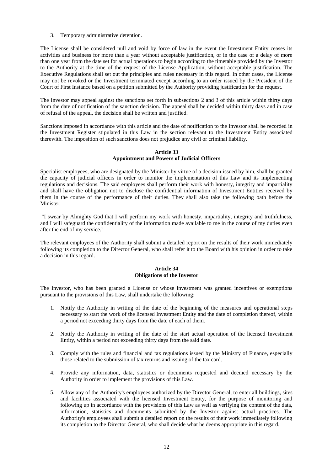3. Temporary administrative detention.

The License shall be considered null and void by force of law in the event the Investment Entity ceases its activities and business for more than a year without acceptable justification, or in the case of a delay of more than one year from the date set for actual operations to begin according to the timetable provided by the Investor to the Authority at the time of the request of the License Application, without acceptable justification. The Executive Regulations shall set out the principles and rules necessary in this regard. In other cases, the License may not be revoked or the Investment terminated except according to an order issued by the President of the Court of First Instance based on a petition submitted by the Authority providing justification for the request.

The Investor may appeal against the sanctions set forth in subsections 2 and 3 of this article within thirty days from the date of notification of the sanction decision. The appeal shall be decided within thirty days and in case of refusal of the appeal, the decision shall be written and justified.

Sanctions imposed in accordance with this article and the date of notification to the Investor shall be recorded in the Investment Register stipulated in this Law in the section relevant to the Investment Entity associated therewith. The imposition of such sanctions does not prejudice any civil or criminal liability.

## **Article 33 Appointment and Powers of Judicial Officers**

Specialist employees, who are designated by the Minister by virtue of a decision issued by him, shall be granted the capacity of judicial officers in order to monitor the implementation of this Law and its implementing regulations and decisions. The said employees shall perform their work with honesty, integrity and impartiality and shall have the obligation not to disclose the confidential information of Investment Entities received by them in the course of the performance of their duties. They shall also take the following oath before the Minister:

"I swear by Almighty God that I will perform my work with honesty, impartiality, integrity and truthfulness, and I will safeguard the confidentiality of the information made available to me in the course of my duties even after the end of my service."

The relevant employees of the Authority shall submit a detailed report on the results of their work immediately following its completion to the Director General, who shall refer it to the Board with his opinion in order to take a decision in this regard.

## **Article 34 Obligations of the Investor**

The Investor, who has been granted a License or whose investment was granted incentives or exemptions pursuant to the provisions of this Law, shall undertake the following:

- 1. Notify the Authority in writing of the date of the beginning of the measures and operational steps necessary to start the work of the licensed Investment Entity and the date of completion thereof, within a period not exceeding thirty days from the date of each of them.
- 2. Notify the Authority in writing of the date of the start actual operation of the licensed Investment Entity, within a period not exceeding thirty days from the said date.
- 3. Comply with the rules and financial and tax regulations issued by the Ministry of Finance, especially those related to the submission of tax returns and issuing of the tax card.
- 4. Provide any information, data, statistics or documents requested and deemed necessary by the Authority in order to implement the provisions of this Law.
- 5. Allow any of the Authority's employees authorized by the Director General, to enter all buildings, sites and facilities associated with the licensed Investment Entity, for the purpose of monitoring and following up in accordance with the provisions of this Law as well as verifying the content of the data, information, statistics and documents submitted by the Investor against actual practices. The Authority's employees shall submit a detailed report on the results of their work immediately following its completion to the Director General, who shall decide what he deems appropriate in this regard.